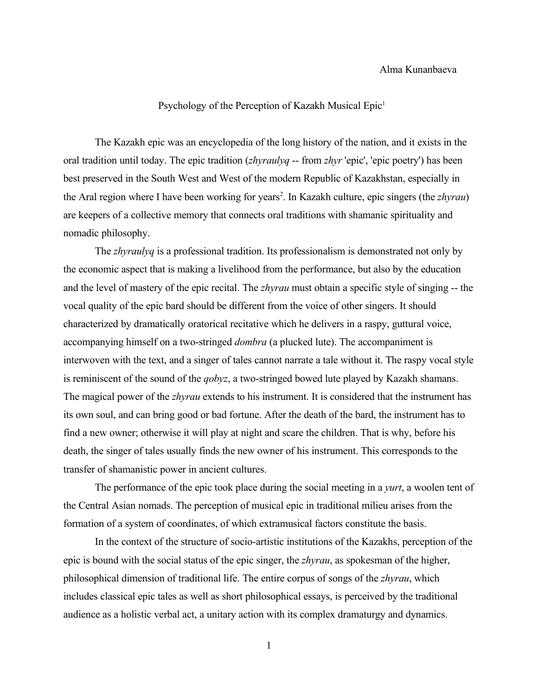## Alma Kunanbaeva

## Psychology of the Perception of Kazakh Musical Epic<sup>[1](#page-5-0)</sup>

The Kazakh epic was an encyclopedia of the long history of the nation, and it exists in the oral tradition until today. The epic tradition (*zhyraulyq* -- from *zhyr* 'epic', 'epic poetry') has been best preserved in the South West and West of the modern Republic of Kazakhstan, especially in the Aral region where I have been working for years<sup>[2](#page-5-1)</sup>. In Kazakh culture, epic singers (the *zhyrau*) are keepers of a collective memory that connects oral traditions with shamanic spirituality and nomadic philosophy.

The *zhyraulyq* is a professional tradition. Its professionalism is demonstrated not only by the economic aspect that is making a livelihood from the performance, but also by the education and the level of mastery of the epic recital. The *zhyrau* must obtain a specific style of singing -- the vocal quality of the epic bard should be different from the voice of other singers. It should characterized by dramatically oratorical recitative which he delivers in a raspy, guttural voice, accompanying himself on a two-stringed *dombra* (a plucked lute). The accompaniment is interwoven with the text, and a singer of tales cannot narrate a tale without it. The raspy vocal style is reminiscent of the sound of the *qobyz*, a two-stringed bowed lute played by Kazakh shamans. The magical power of the *zhyrau* extends to his instrument. It is considered that the instrument has its own soul, and can bring good or bad fortune. After the death of the bard, the instrument has to find a new owner; otherwise it will play at night and scare the children. That is why, before his death, the singer of tales usually finds the new owner of his instrument. This corresponds to the transfer of shamanistic power in ancient cultures.

The performance of the epic took place during the social meeting in a *yurt*, a woolen tent of the Central Asian nomads. The perception of musical epic in traditional milieu arises from the formation of a system of coordinates, of which extramusical factors constitute the basis.

In the context of the structure of socio-artistic institutions of the Kazakhs, perception of the epic is bound with the social status of the epic singer, the *zhyrau*, as spokesman of the higher, philosophical dimension of traditional life. The entire corpus of songs of the *zhyrau*, which includes classical epic tales as well as short philosophical essays, is perceived by the traditional audience as a holistic verbal act, a unitary action with its complex dramaturgy and dynamics.

1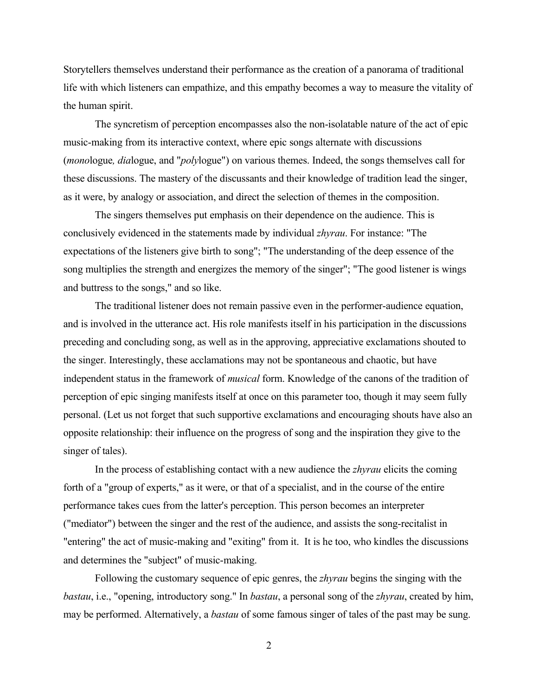Storytellers themselves understand their performance as the creation of a panorama of traditional life with which listeners can empathize, and this empathy becomes a way to measure the vitality of the human spirit.

The syncretism of perception encompasses also the non-isolatable nature of the act of epic music-making from its interactive context, where epic songs alternate with discussions (*mono*logue*, dia*logue, and "*poly*logue") on various themes. Indeed, the songs themselves call for these discussions. The mastery of the discussants and their knowledge of tradition lead the singer, as it were, by analogy or association, and direct the selection of themes in the composition.

The singers themselves put emphasis on their dependence on the audience. This is conclusively evidenced in the statements made by individual *zhyrau*. For instance: "The expectations of the listeners give birth to song"; "The understanding of the deep essence of the song multiplies the strength and energizes the memory of the singer"; "The good listener is wings and buttress to the songs," and so like.

The traditional listener does not remain passive even in the performer-audience equation, and is involved in the utterance act. His role manifests itself in his participation in the discussions preceding and concluding song, as well as in the approving, appreciative exclamations shouted to the singer. Interestingly, these acclamations may not be spontaneous and chaotic, but have independent status in the framework of *musical* form. Knowledge of the canons of the tradition of perception of epic singing manifests itself at once on this parameter too, though it may seem fully personal. (Let us not forget that such supportive exclamations and encouraging shouts have also an opposite relationship: their influence on the progress of song and the inspiration they give to the singer of tales).

In the process of establishing contact with a new audience the *zhyrau* elicits the coming forth of a "group of experts," as it were, or that of a specialist, and in the course of the entire performance takes cues from the latter's perception. This person becomes an interpreter ("mediator") between the singer and the rest of the audience, and assists the song-recitalist in "entering" the act of music-making and "exiting" from it. It is he too, who kindles the discussions and determines the "subject" of music-making.

Following the customary sequence of epic genres, the *zhyrau* begins the singing with the *bastau*, i.e., "opening, introductory song." In *bastau*, a personal song of the *zhyrau*, created by him, may be performed. Alternatively, a *bastau* of some famous singer of tales of the past may be sung.

2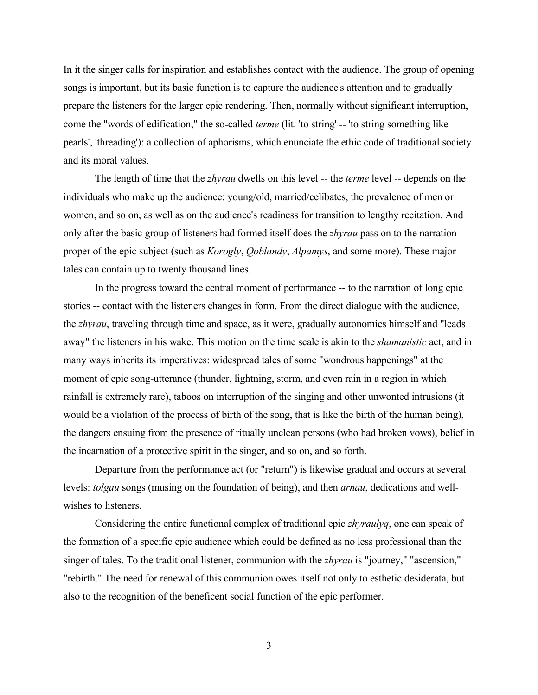In it the singer calls for inspiration and establishes contact with the audience. The group of opening songs is important, but its basic function is to capture the audience's attention and to gradually prepare the listeners for the larger epic rendering. Then, normally without significant interruption, come the "words of edification," the so-called *terme* (lit. 'to string' -- 'to string something like pearls', 'threading'): a collection of aphorisms, which enunciate the ethic code of traditional society and its moral values.

The length of time that the *zhyrau* dwells on this level -- the *terme* level -- depends on the individuals who make up the audience: young/old, married/celibates, the prevalence of men or women, and so on, as well as on the audience's readiness for transition to lengthy recitation. And only after the basic group of listeners had formed itself does the *zhyrau* pass on to the narration proper of the epic subject (such as *Korogly*, *Qoblandy*, *Alpamys*, and some more). These major tales can contain up to twenty thousand lines.

In the progress toward the central moment of performance -- to the narration of long epic stories -- contact with the listeners changes in form. From the direct dialogue with the audience, the *zhyrau*, traveling through time and space, as it were, gradually autonomies himself and "leads away" the listeners in his wake. This motion on the time scale is akin to the *shamanistic* act, and in many ways inherits its imperatives: widespread tales of some "wondrous happenings" at the moment of epic song-utterance (thunder, lightning, storm, and even rain in a region in which rainfall is extremely rare), taboos on interruption of the singing and other unwonted intrusions (it would be a violation of the process of birth of the song, that is like the birth of the human being), the dangers ensuing from the presence of ritually unclean persons (who had broken vows), belief in the incarnation of a protective spirit in the singer, and so on, and so forth.

Departure from the performance act (or "return") is likewise gradual and occurs at several levels: *tolgau* songs (musing on the foundation of being), and then *arnau*, dedications and wellwishes to listeners.

Considering the entire functional complex of traditional epic *zhyraulyq*, one can speak of the formation of a specific epic audience which could be defined as no less professional than the singer of tales. To the traditional listener, communion with the *zhyrau* is "journey," "ascension," "rebirth." The need for renewal of this communion owes itself not only to esthetic desiderata, but also to the recognition of the beneficent social function of the epic performer.

3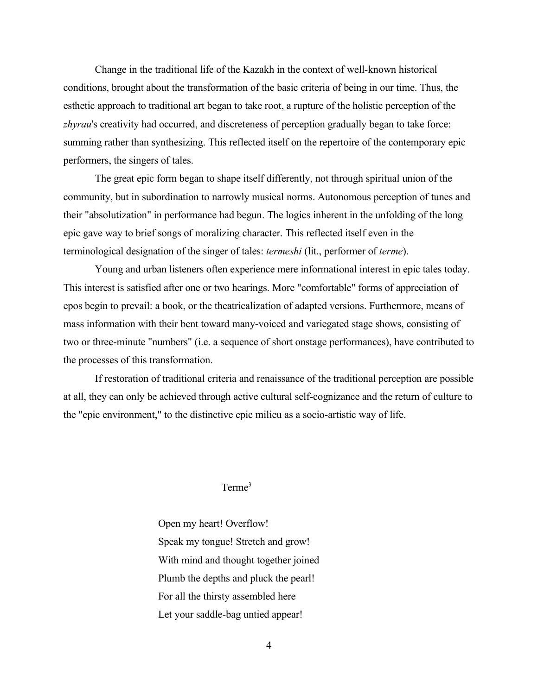Change in the traditional life of the Kazakh in the context of well-known historical conditions, brought about the transformation of the basic criteria of being in our time. Thus, the esthetic approach to traditional art began to take root, a rupture of the holistic perception of the *zhyrau*'s creativity had occurred, and discreteness of perception gradually began to take force: summing rather than synthesizing. This reflected itself on the repertoire of the contemporary epic performers, the singers of tales.

The great epic form began to shape itself differently, not through spiritual union of the community, but in subordination to narrowly musical norms. Autonomous perception of tunes and their "absolutization" in performance had begun. The logics inherent in the unfolding of the long epic gave way to brief songs of moralizing character. This reflected itself even in the terminological designation of the singer of tales: *termeshi* (lit., performer of *terme*).

Young and urban listeners often experience mere informational interest in epic tales today. This interest is satisfied after one or two hearings. More "comfortable" forms of appreciation of epos begin to prevail: a book, or the theatricalization of adapted versions. Furthermore, means of mass information with their bent toward many-voiced and variegated stage shows, consisting of two or three-minute "numbers" (i.e. a sequence of short onstage performances), have contributed to the processes of this transformation.

If restoration of traditional criteria and renaissance of the traditional perception are possible at all, they can only be achieved through active cultural self-cognizance and the return of culture to the "epic environment," to the distinctive epic milieu as a socio-artistic way of life.

## Terme<sup>[3](#page-5-2)</sup>

Open my heart! Overflow! Speak my tongue! Stretch and grow! With mind and thought together joined Plumb the depths and pluck the pearl! For all the thirsty assembled here Let your saddle-bag untied appear!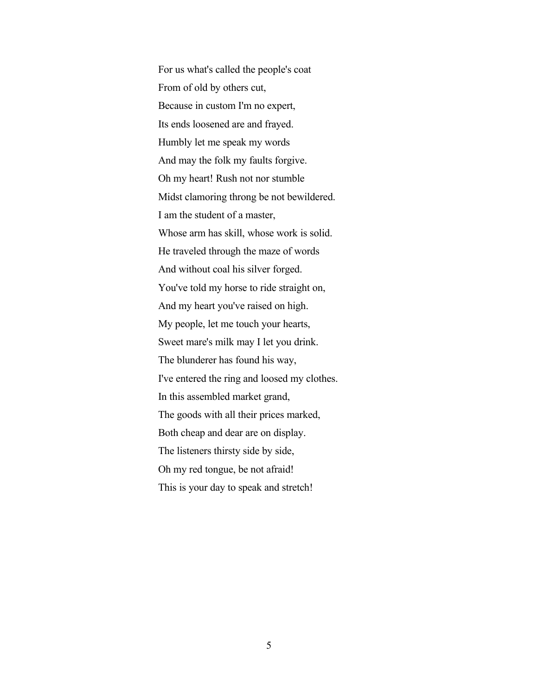For us what's called the people's coat From of old by others cut, Because in custom I'm no expert, Its ends loosened are and frayed. Humbly let me speak my words And may the folk my faults forgive. Oh my heart! Rush not nor stumble Midst clamoring throng be not bewildered. I am the student of a master, Whose arm has skill, whose work is solid. He traveled through the maze of words And without coal his silver forged. You've told my horse to ride straight on, And my heart you've raised on high. My people, let me touch your hearts, Sweet mare's milk may I let you drink. The blunderer has found his way, I've entered the ring and loosed my clothes. In this assembled market grand, The goods with all their prices marked, Both cheap and dear are on display. The listeners thirsty side by side, Oh my red tongue, be not afraid! This is your day to speak and stretch!